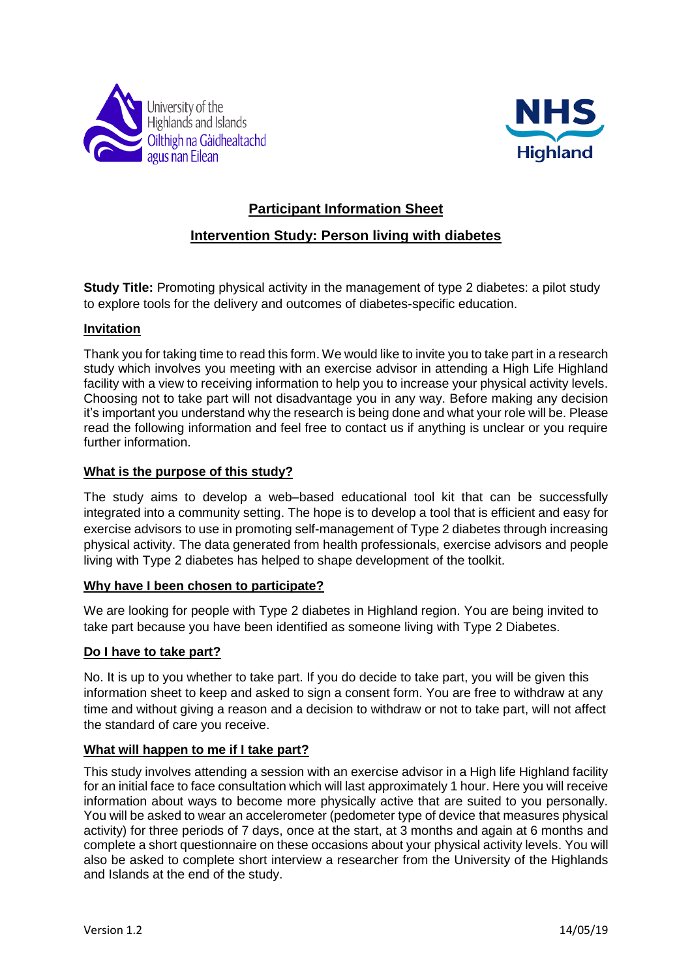



# **Participant Information Sheet**

## **Intervention Study: Person living with diabetes**

**Study Title:** Promoting physical activity in the management of type 2 diabetes: a pilot study to explore tools for the delivery and outcomes of diabetes-specific education.

## **Invitation**

Thank you for taking time to read this form. We would like to invite you to take part in a research study which involves you meeting with an exercise advisor in attending a High Life Highland facility with a view to receiving information to help you to increase your physical activity levels. Choosing not to take part will not disadvantage you in any way. Before making any decision it's important you understand why the research is being done and what your role will be. Please read the following information and feel free to contact us if anything is unclear or you require further information.

## **What is the purpose of this study?**

The study aims to develop a web–based educational tool kit that can be successfully integrated into a community setting. The hope is to develop a tool that is efficient and easy for exercise advisors to use in promoting self-management of Type 2 diabetes through increasing physical activity. The data generated from health professionals, exercise advisors and people living with Type 2 diabetes has helped to shape development of the toolkit.

## **Why have I been chosen to participate?**

We are looking for people with Type 2 diabetes in Highland region. You are being invited to take part because you have been identified as someone living with Type 2 Diabetes.

#### **Do I have to take part?**

No. It is up to you whether to take part. If you do decide to take part, you will be given this information sheet to keep and asked to sign a consent form. You are free to withdraw at any time and without giving a reason and a decision to withdraw or not to take part, will not affect the standard of care you receive.

## **What will happen to me if I take part?**

This study involves attending a session with an exercise advisor in a High life Highland facility for an initial face to face consultation which will last approximately 1 hour. Here you will receive information about ways to become more physically active that are suited to you personally. You will be asked to wear an accelerometer (pedometer type of device that measures physical activity) for three periods of 7 days, once at the start, at 3 months and again at 6 months and complete a short questionnaire on these occasions about your physical activity levels. You will also be asked to complete short interview a researcher from the University of the Highlands and Islands at the end of the study.